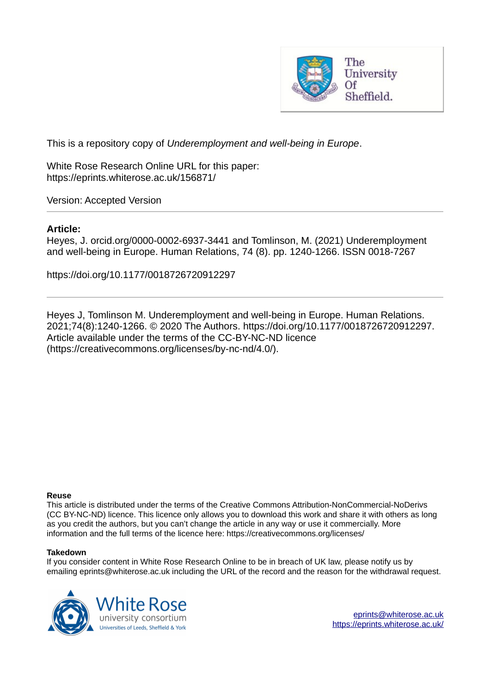

This is a repository copy of *Underemployment and well-being in Europe*.

White Rose Research Online URL for this paper: https://eprints.whiterose.ac.uk/156871/

Version: Accepted Version

# **Article:**

Heyes, J. orcid.org/0000-0002-6937-3441 and Tomlinson, M. (2021) Underemployment and well-being in Europe. Human Relations, 74 (8). pp. 1240-1266. ISSN 0018-7267

https://doi.org/10.1177/0018726720912297

Heyes J, Tomlinson M. Underemployment and well-being in Europe. Human Relations. 2021;74(8):1240-1266. © 2020 The Authors. https://doi.org/10.1177/0018726720912297. Article available under the terms of the CC-BY-NC-ND licence (https://creativecommons.org/licenses/by-nc-nd/4.0/).

#### **Reuse**

This article is distributed under the terms of the Creative Commons Attribution-NonCommercial-NoDerivs (CC BY-NC-ND) licence. This licence only allows you to download this work and share it with others as long as you credit the authors, but you can't change the article in any way or use it commercially. More information and the full terms of the licence here: https://creativecommons.org/licenses/

#### **Takedown**

If you consider content in White Rose Research Online to be in breach of UK law, please notify us by emailing eprints@whiterose.ac.uk including the URL of the record and the reason for the withdrawal request.



eprints@whiterose.ac.uk https://eprints.whiterose.ac.uk/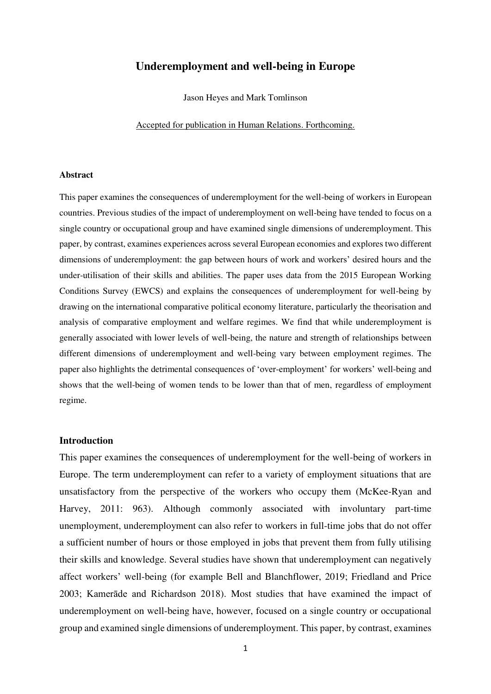# **Underemployment and well-being in Europe**

Jason Heyes and Mark Tomlinson

Accepted for publication in Human Relations. Forthcoming.

## **Abstract**

This paper examines the consequences of underemployment for the well-being of workers in European countries. Previous studies of the impact of underemployment on well-being have tended to focus on a single country or occupational group and have examined single dimensions of underemployment. This paper, by contrast, examines experiences across several European economies and explores two different dimensions of underemployment: the gap between hours of work and workers' desired hours and the under-utilisation of their skills and abilities. The paper uses data from the 2015 European Working Conditions Survey (EWCS) and explains the consequences of underemployment for well-being by drawing on the international comparative political economy literature, particularly the theorisation and analysis of comparative employment and welfare regimes. We find that while underemployment is generally associated with lower levels of well-being, the nature and strength of relationships between different dimensions of underemployment and well-being vary between employment regimes. The paper also highlights the detrimental consequences of 'over-employment' for workers' well-being and shows that the well-being of women tends to be lower than that of men, regardless of employment regime.

## **Introduction**

This paper examines the consequences of underemployment for the well-being of workers in Europe. The term underemployment can refer to a variety of employment situations that are unsatisfactory from the perspective of the workers who occupy them (McKee-Ryan and Harvey, 2011: 963). Although commonly associated with involuntary part-time unemployment, underemployment can also refer to workers in full-time jobs that do not offer a sufficient number of hours or those employed in jobs that prevent them from fully utilising their skills and knowledge. Several studies have shown that underemployment can negatively affect workers' well-being (for example Bell and Blanchflower, 2019; Friedland and Price 2003; Kamerāde and Richardson 2018). Most studies that have examined the impact of underemployment on well-being have, however, focused on a single country or occupational group and examined single dimensions of underemployment. This paper, by contrast, examines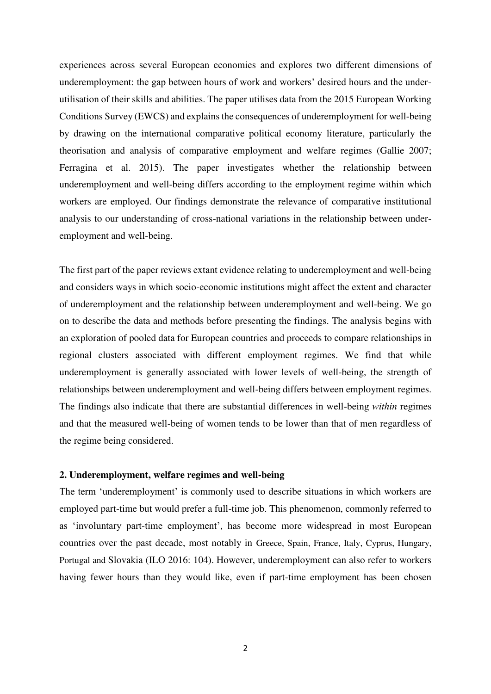experiences across several European economies and explores two different dimensions of underemployment: the gap between hours of work and workers' desired hours and the underutilisation of their skills and abilities. The paper utilises data from the 2015 European Working Conditions Survey (EWCS) and explains the consequences of underemployment for well-being by drawing on the international comparative political economy literature, particularly the theorisation and analysis of comparative employment and welfare regimes (Gallie 2007; Ferragina et al. 2015). The paper investigates whether the relationship between underemployment and well-being differs according to the employment regime within which workers are employed. Our findings demonstrate the relevance of comparative institutional analysis to our understanding of cross-national variations in the relationship between underemployment and well-being.

The first part of the paper reviews extant evidence relating to underemployment and well-being and considers ways in which socio-economic institutions might affect the extent and character of underemployment and the relationship between underemployment and well-being. We go on to describe the data and methods before presenting the findings. The analysis begins with an exploration of pooled data for European countries and proceeds to compare relationships in regional clusters associated with different employment regimes. We find that while underemployment is generally associated with lower levels of well-being, the strength of relationships between underemployment and well-being differs between employment regimes. The findings also indicate that there are substantial differences in well-being *within* regimes and that the measured well-being of women tends to be lower than that of men regardless of the regime being considered.

# **2. Underemployment, welfare regimes and well-being**

The term 'underemployment' is commonly used to describe situations in which workers are employed part-time but would prefer a full-time job. This phenomenon, commonly referred to as 'involuntary part-time employment', has become more widespread in most European countries over the past decade, most notably in Greece, Spain, France, Italy, Cyprus, Hungary, Portugal and Slovakia (ILO 2016: 104). However, underemployment can also refer to workers having fewer hours than they would like, even if part-time employment has been chosen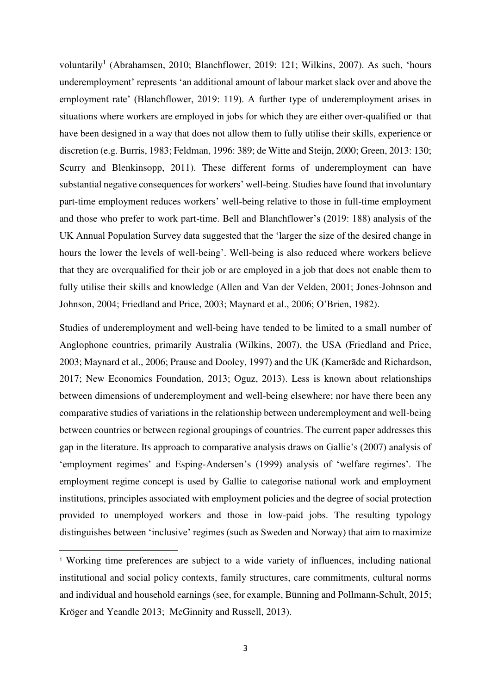voluntarily<sup>1</sup> (Abrahamsen, 2010; Blanchflower, 2019: 121; Wilkins, 2007). As such, 'hours underemployment' represents 'an additional amount of labour market slack over and above the employment rate' (Blanchflower, 2019: 119). A further type of underemployment arises in situations where workers are employed in jobs for which they are either over-qualified or that have been designed in a way that does not allow them to fully utilise their skills, experience or discretion (e.g. Burris, 1983; Feldman, 1996: 389; de Witte and Steijn, 2000; Green, 2013: 130; Scurry and Blenkinsopp, 2011). These different forms of underemployment can have substantial negative consequences for workers' well-being. Studies have found that involuntary part-time employment reduces workers' well-being relative to those in full-time employment and those who prefer to work part-time. Bell and Blanchflower's (2019: 188) analysis of the UK Annual Population Survey data suggested that the 'larger the size of the desired change in hours the lower the levels of well-being'. Well-being is also reduced where workers believe that they are overqualified for their job or are employed in a job that does not enable them to fully utilise their skills and knowledge (Allen and Van der Velden, 2001; Jones-Johnson and Johnson, 2004; Friedland and Price, 2003; Maynard et al., 2006; O'Brien, 1982).

Studies of underemployment and well-being have tended to be limited to a small number of Anglophone countries, primarily Australia (Wilkins, 2007), the USA (Friedland and Price, 2003; Maynard et al., 2006; Prause and Dooley, 1997) and the UK (Kamerāde and Richardson, 2017; New Economics Foundation, 2013; Oguz, 2013). Less is known about relationships between dimensions of underemployment and well-being elsewhere; nor have there been any comparative studies of variations in the relationship between underemployment and well-being between countries or between regional groupings of countries. The current paper addresses this gap in the literature. Its approach to comparative analysis draws on Gallie's (2007) analysis of 'employment regimes' and Esping-Andersen's (1999) analysis of 'welfare regimes'. The employment regime concept is used by Gallie to categorise national work and employment institutions, principles associated with employment policies and the degree of social protection provided to unemployed workers and those in low-paid jobs. The resulting typology distinguishes between 'inclusive' regimes (such as Sweden and Norway) that aim to maximize

<u>.</u>

<sup>1</sup> Working time preferences are subject to a wide variety of influences, including national institutional and social policy contexts, family structures, care commitments, cultural norms and individual and household earnings (see, for example, Bünning and Pollmann-Schult, 2015; Kröger and Yeandle 2013; McGinnity and Russell, 2013).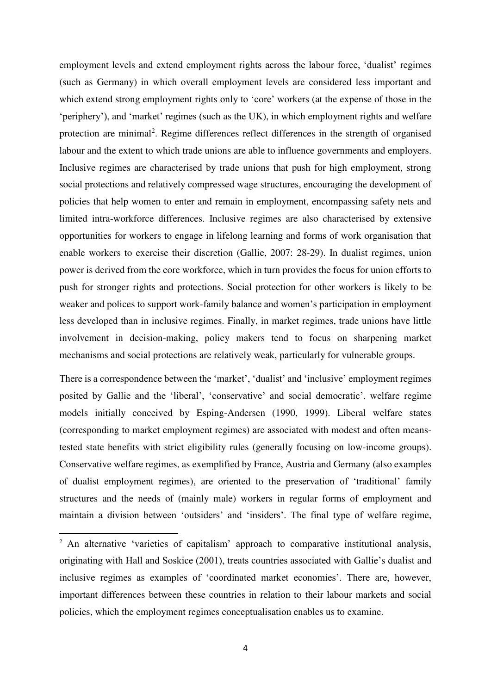employment levels and extend employment rights across the labour force, 'dualist' regimes (such as Germany) in which overall employment levels are considered less important and which extend strong employment rights only to 'core' workers (at the expense of those in the 'periphery'), and 'market' regimes (such as the UK), in which employment rights and welfare protection are minimal<sup>2</sup>. Regime differences reflect differences in the strength of organised labour and the extent to which trade unions are able to influence governments and employers. Inclusive regimes are characterised by trade unions that push for high employment, strong social protections and relatively compressed wage structures, encouraging the development of policies that help women to enter and remain in employment, encompassing safety nets and limited intra-workforce differences. Inclusive regimes are also characterised by extensive opportunities for workers to engage in lifelong learning and forms of work organisation that enable workers to exercise their discretion (Gallie, 2007: 28-29). In dualist regimes, union power is derived from the core workforce, which in turn provides the focus for union efforts to push for stronger rights and protections. Social protection for other workers is likely to be weaker and polices to support work-family balance and women's participation in employment less developed than in inclusive regimes. Finally, in market regimes, trade unions have little involvement in decision-making, policy makers tend to focus on sharpening market mechanisms and social protections are relatively weak, particularly for vulnerable groups.

There is a correspondence between the 'market', 'dualist' and 'inclusive' employment regimes posited by Gallie and the 'liberal', 'conservative' and social democratic'. welfare regime models initially conceived by Esping-Andersen (1990, 1999). Liberal welfare states (corresponding to market employment regimes) are associated with modest and often meanstested state benefits with strict eligibility rules (generally focusing on low-income groups). Conservative welfare regimes, as exemplified by France, Austria and Germany (also examples of dualist employment regimes), are oriented to the preservation of 'traditional' family structures and the needs of (mainly male) workers in regular forms of employment and maintain a division between 'outsiders' and 'insiders'. The final type of welfare regime,

<u>.</u>

<sup>&</sup>lt;sup>2</sup> An alternative 'varieties of capitalism' approach to comparative institutional analysis, originating with Hall and Soskice (2001), treats countries associated with Gallie's dualist and inclusive regimes as examples of 'coordinated market economies'. There are, however, important differences between these countries in relation to their labour markets and social policies, which the employment regimes conceptualisation enables us to examine.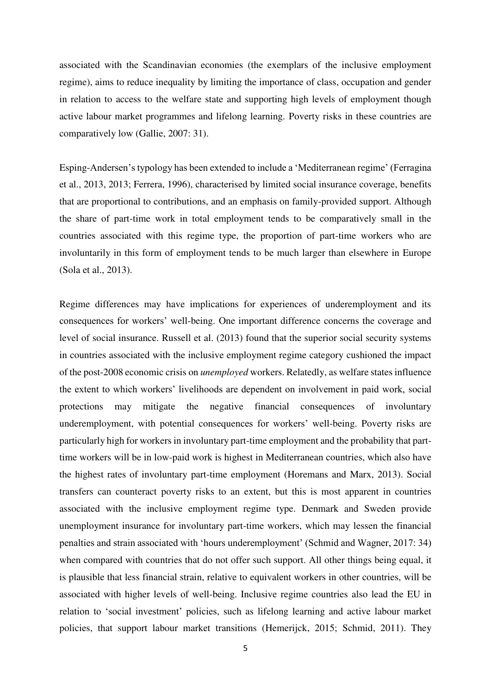associated with the Scandinavian economies (the exemplars of the inclusive employment regime), aims to reduce inequality by limiting the importance of class, occupation and gender in relation to access to the welfare state and supporting high levels of employment though active labour market programmes and lifelong learning. Poverty risks in these countries are comparatively low (Gallie, 2007: 31).

Esping-Andersen's typology has been extended to include a 'Mediterranean regime' (Ferragina et al., 2013, 2013; Ferrera, 1996), characterised by limited social insurance coverage, benefits that are proportional to contributions, and an emphasis on family-provided support. Although the share of part-time work in total employment tends to be comparatively small in the countries associated with this regime type, the proportion of part-time workers who are involuntarily in this form of employment tends to be much larger than elsewhere in Europe (Sola et al., 2013).

Regime differences may have implications for experiences of underemployment and its consequences for workers' well-being. One important difference concerns the coverage and level of social insurance. Russell et al. (2013) found that the superior social security systems in countries associated with the inclusive employment regime category cushioned the impact of the post-2008 economic crisis on *unemployed* workers. Relatedly, as welfare states influence the extent to which workers' livelihoods are dependent on involvement in paid work, social protections may mitigate the negative financial consequences of involuntary underemployment, with potential consequences for workers' well-being. Poverty risks are particularly high for workers in involuntary part-time employment and the probability that parttime workers will be in low-paid work is highest in Mediterranean countries, which also have the highest rates of involuntary part-time employment (Horemans and Marx, 2013). Social transfers can counteract poverty risks to an extent, but this is most apparent in countries associated with the inclusive employment regime type. Denmark and Sweden provide unemployment insurance for involuntary part-time workers, which may lessen the financial penalties and strain associated with 'hours underemployment' (Schmid and Wagner, 2017: 34) when compared with countries that do not offer such support. All other things being equal, it is plausible that less financial strain, relative to equivalent workers in other countries, will be associated with higher levels of well-being. Inclusive regime countries also lead the EU in relation to 'social investment' policies, such as lifelong learning and active labour market policies, that support labour market transitions (Hemerijck, 2015; Schmid, 2011). They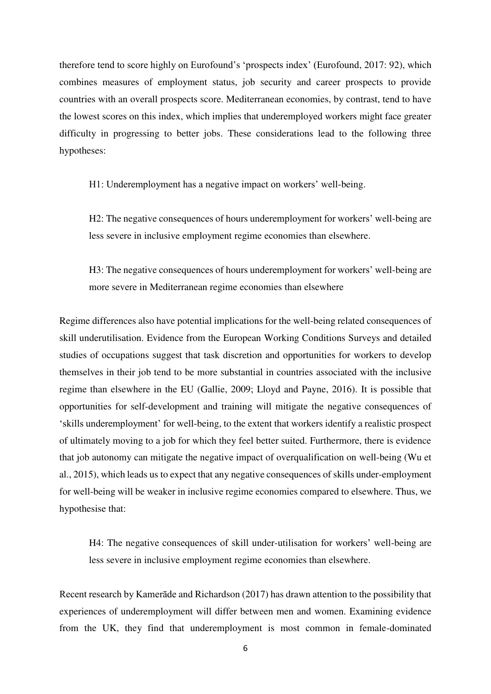therefore tend to score highly on Eurofound's 'prospects index' (Eurofound, 2017: 92), which combines measures of employment status, job security and career prospects to provide countries with an overall prospects score. Mediterranean economies, by contrast, tend to have the lowest scores on this index, which implies that underemployed workers might face greater difficulty in progressing to better jobs. These considerations lead to the following three hypotheses:

H1: Underemployment has a negative impact on workers' well-being.

H2: The negative consequences of hours underemployment for workers' well-being are less severe in inclusive employment regime economies than elsewhere.

H3: The negative consequences of hours underemployment for workers' well-being are more severe in Mediterranean regime economies than elsewhere

Regime differences also have potential implications for the well-being related consequences of skill underutilisation. Evidence from the European Working Conditions Surveys and detailed studies of occupations suggest that task discretion and opportunities for workers to develop themselves in their job tend to be more substantial in countries associated with the inclusive regime than elsewhere in the EU (Gallie, 2009; Lloyd and Payne, 2016). It is possible that opportunities for self-development and training will mitigate the negative consequences of 'skills underemployment' for well-being, to the extent that workers identify a realistic prospect of ultimately moving to a job for which they feel better suited. Furthermore, there is evidence that job autonomy can mitigate the negative impact of overqualification on well-being (Wu et al., 2015), which leads us to expect that any negative consequences of skills under-employment for well-being will be weaker in inclusive regime economies compared to elsewhere. Thus, we hypothesise that:

H4: The negative consequences of skill under-utilisation for workers' well-being are less severe in inclusive employment regime economies than elsewhere.

Recent research by Kamerāde and Richardson (2017) has drawn attention to the possibility that experiences of underemployment will differ between men and women. Examining evidence from the UK, they find that underemployment is most common in female-dominated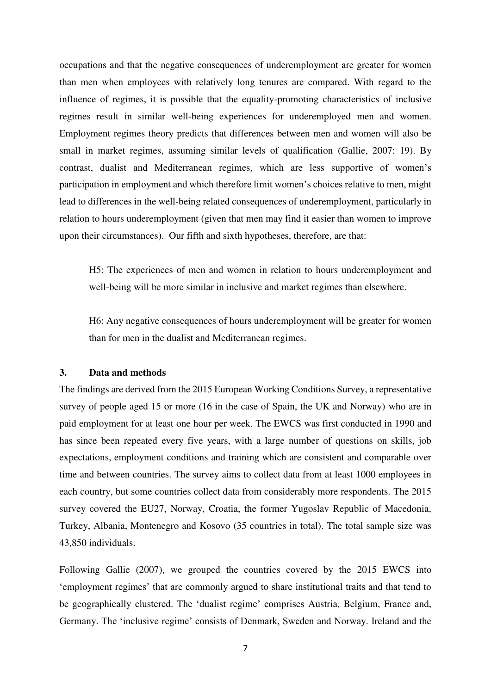occupations and that the negative consequences of underemployment are greater for women than men when employees with relatively long tenures are compared. With regard to the influence of regimes, it is possible that the equality-promoting characteristics of inclusive regimes result in similar well-being experiences for underemployed men and women. Employment regimes theory predicts that differences between men and women will also be small in market regimes, assuming similar levels of qualification (Gallie, 2007: 19). By contrast, dualist and Mediterranean regimes, which are less supportive of women's participation in employment and which therefore limit women's choices relative to men, might lead to differences in the well-being related consequences of underemployment, particularly in relation to hours underemployment (given that men may find it easier than women to improve upon their circumstances). Our fifth and sixth hypotheses, therefore, are that:

H5: The experiences of men and women in relation to hours underemployment and well-being will be more similar in inclusive and market regimes than elsewhere.

H6: Any negative consequences of hours underemployment will be greater for women than for men in the dualist and Mediterranean regimes.

#### **3. Data and methods**

The findings are derived from the 2015 European Working Conditions Survey, a representative survey of people aged 15 or more (16 in the case of Spain, the UK and Norway) who are in paid employment for at least one hour per week. The EWCS was first conducted in 1990 and has since been repeated every five years, with a large number of questions on skills, job expectations, employment conditions and training which are consistent and comparable over time and between countries. The survey aims to collect data from at least 1000 employees in each country, but some countries collect data from considerably more respondents. The 2015 survey covered the EU27, Norway, Croatia, the former Yugoslav Republic of Macedonia, Turkey, Albania, Montenegro and Kosovo (35 countries in total). The total sample size was 43,850 individuals.

Following Gallie (2007), we grouped the countries covered by the 2015 EWCS into 'employment regimes' that are commonly argued to share institutional traits and that tend to be geographically clustered. The 'dualist regime' comprises Austria, Belgium, France and, Germany. The 'inclusive regime' consists of Denmark, Sweden and Norway. Ireland and the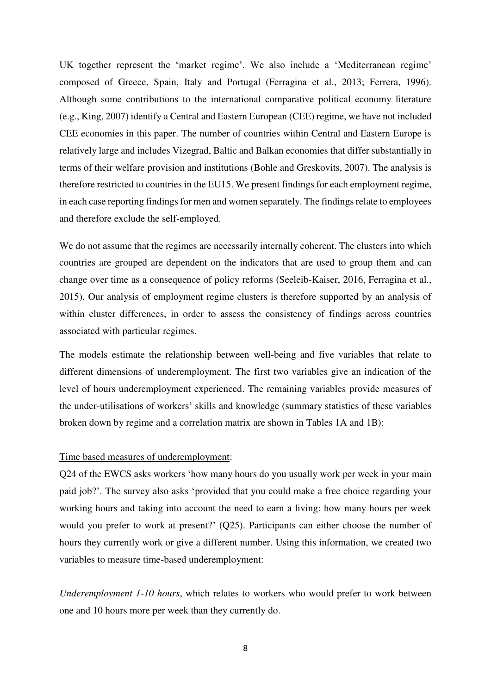UK together represent the 'market regime'. We also include a 'Mediterranean regime' composed of Greece, Spain, Italy and Portugal (Ferragina et al., 2013; Ferrera, 1996). Although some contributions to the international comparative political economy literature (e.g., King, 2007) identify a Central and Eastern European (CEE) regime, we have not included CEE economies in this paper. The number of countries within Central and Eastern Europe is relatively large and includes Vizegrad, Baltic and Balkan economies that differ substantially in terms of their welfare provision and institutions (Bohle and Greskovits, 2007). The analysis is therefore restricted to countries in the EU15. We present findings for each employment regime, in each case reporting findings for men and women separately. The findings relate to employees and therefore exclude the self-employed.

We do not assume that the regimes are necessarily internally coherent. The clusters into which countries are grouped are dependent on the indicators that are used to group them and can change over time as a consequence of policy reforms (Seeleib-Kaiser, 2016, Ferragina et al., 2015). Our analysis of employment regime clusters is therefore supported by an analysis of within cluster differences, in order to assess the consistency of findings across countries associated with particular regimes.

The models estimate the relationship between well-being and five variables that relate to different dimensions of underemployment. The first two variables give an indication of the level of hours underemployment experienced. The remaining variables provide measures of the under-utilisations of workers' skills and knowledge (summary statistics of these variables broken down by regime and a correlation matrix are shown in Tables 1A and 1B):

# Time based measures of underemployment:

Q24 of the EWCS asks workers 'how many hours do you usually work per week in your main paid job?'. The survey also asks 'provided that you could make a free choice regarding your working hours and taking into account the need to earn a living: how many hours per week would you prefer to work at present?' (Q25). Participants can either choose the number of hours they currently work or give a different number. Using this information, we created two variables to measure time-based underemployment:

*Underemployment 1-10 hours*, which relates to workers who would prefer to work between one and 10 hours more per week than they currently do.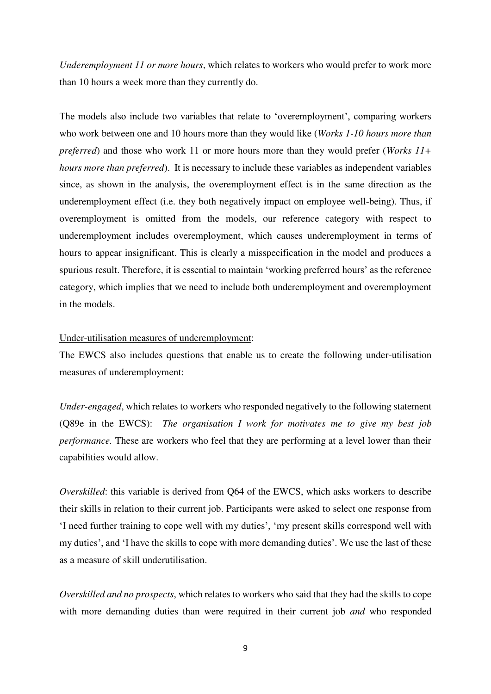*Underemployment 11 or more hours*, which relates to workers who would prefer to work more than 10 hours a week more than they currently do.

The models also include two variables that relate to 'overemployment', comparing workers who work between one and 10 hours more than they would like (*Works 1-10 hours more than preferred*) and those who work 11 or more hours more than they would prefer (*Works 11+ hours more than preferred*). It is necessary to include these variables as independent variables since, as shown in the analysis, the overemployment effect is in the same direction as the underemployment effect (i.e. they both negatively impact on employee well-being). Thus, if overemployment is omitted from the models, our reference category with respect to underemployment includes overemployment, which causes underemployment in terms of hours to appear insignificant. This is clearly a misspecification in the model and produces a spurious result. Therefore, it is essential to maintain 'working preferred hours' as the reference category, which implies that we need to include both underemployment and overemployment in the models.

# Under-utilisation measures of underemployment:

The EWCS also includes questions that enable us to create the following under-utilisation measures of underemployment:

*Under-engaged*, which relates to workers who responded negatively to the following statement (Q89e in the EWCS): *The organisation I work for motivates me to give my best job performance.* These are workers who feel that they are performing at a level lower than their capabilities would allow.

*Overskilled*: this variable is derived from O64 of the EWCS, which asks workers to describe their skills in relation to their current job. Participants were asked to select one response from 'I need further training to cope well with my duties', 'my present skills correspond well with my duties', and 'I have the skills to cope with more demanding duties'. We use the last of these as a measure of skill underutilisation.

*Overskilled and no prospects*, which relates to workers who said that they had the skills to cope with more demanding duties than were required in their current job *and* who responded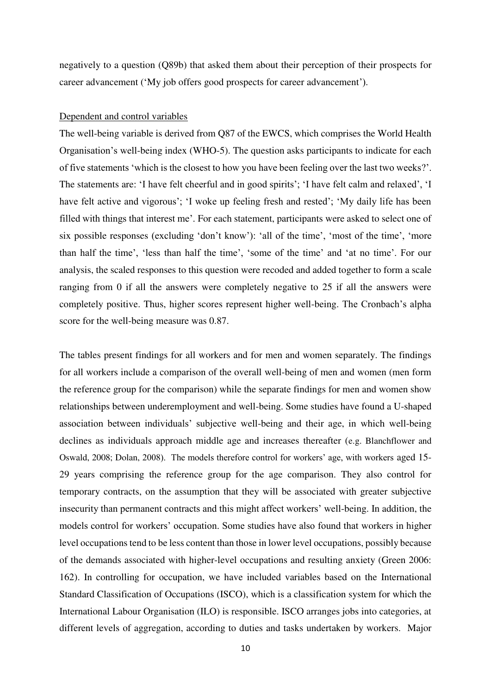negatively to a question (Q89b) that asked them about their perception of their prospects for career advancement ('My job offers good prospects for career advancement').

## Dependent and control variables

The well-being variable is derived from Q87 of the EWCS, which comprises the World Health Organisation's well-being index (WHO-5). The question asks participants to indicate for each of five statements 'which is the closest to how you have been feeling over the last two weeks?'. The statements are: 'I have felt cheerful and in good spirits'; 'I have felt calm and relaxed', 'I have felt active and vigorous'; 'I woke up feeling fresh and rested'; 'My daily life has been filled with things that interest me'. For each statement, participants were asked to select one of six possible responses (excluding 'don't know'): 'all of the time', 'most of the time', 'more than half the time', 'less than half the time', 'some of the time' and 'at no time'. For our analysis, the scaled responses to this question were recoded and added together to form a scale ranging from 0 if all the answers were completely negative to 25 if all the answers were completely positive. Thus, higher scores represent higher well-being. The Cronbach's alpha score for the well-being measure was 0.87.

The tables present findings for all workers and for men and women separately. The findings for all workers include a comparison of the overall well-being of men and women (men form the reference group for the comparison) while the separate findings for men and women show relationships between underemployment and well-being. Some studies have found a U-shaped association between individuals' subjective well-being and their age, in which well-being declines as individuals approach middle age and increases thereafter (e.g. Blanchflower and Oswald, 2008; Dolan, 2008). The models therefore control for workers' age, with workers aged 15- 29 years comprising the reference group for the age comparison. They also control for temporary contracts, on the assumption that they will be associated with greater subjective insecurity than permanent contracts and this might affect workers' well-being. In addition, the models control for workers' occupation. Some studies have also found that workers in higher level occupations tend to be less content than those in lower level occupations, possibly because of the demands associated with higher-level occupations and resulting anxiety (Green 2006: 162). In controlling for occupation, we have included variables based on the International Standard Classification of Occupations (ISCO), which is a classification system for which the International Labour Organisation (ILO) is responsible. ISCO arranges jobs into categories, at different levels of aggregation, according to duties and tasks undertaken by workers. Major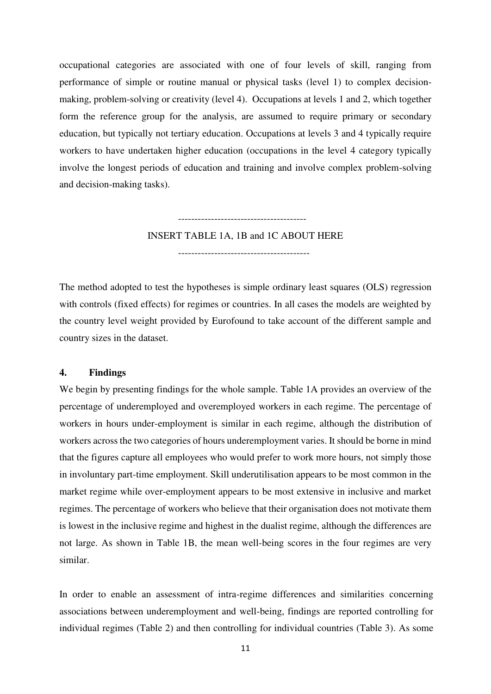occupational categories are associated with one of four levels of skill, ranging from performance of simple or routine manual or physical tasks (level 1) to complex decisionmaking, problem-solving or creativity (level 4). Occupations at levels 1 and 2, which together form the reference group for the analysis, are assumed to require primary or secondary education, but typically not tertiary education. Occupations at levels 3 and 4 typically require workers to have undertaken higher education (occupations in the level 4 category typically involve the longest periods of education and training and involve complex problem-solving and decision-making tasks).

# INSERT TABLE 1A, 1B and 1C ABOUT HERE

---------------------------------------

----------------------------------------

The method adopted to test the hypotheses is simple ordinary least squares (OLS) regression with controls (fixed effects) for regimes or countries. In all cases the models are weighted by the country level weight provided by Eurofound to take account of the different sample and country sizes in the dataset.

# **4. Findings**

We begin by presenting findings for the whole sample. Table 1A provides an overview of the percentage of underemployed and overemployed workers in each regime. The percentage of workers in hours under-employment is similar in each regime, although the distribution of workers across the two categories of hours underemployment varies. It should be borne in mind that the figures capture all employees who would prefer to work more hours, not simply those in involuntary part-time employment. Skill underutilisation appears to be most common in the market regime while over-employment appears to be most extensive in inclusive and market regimes. The percentage of workers who believe that their organisation does not motivate them is lowest in the inclusive regime and highest in the dualist regime, although the differences are not large. As shown in Table 1B, the mean well-being scores in the four regimes are very similar.

In order to enable an assessment of intra-regime differences and similarities concerning associations between underemployment and well-being, findings are reported controlling for individual regimes (Table 2) and then controlling for individual countries (Table 3). As some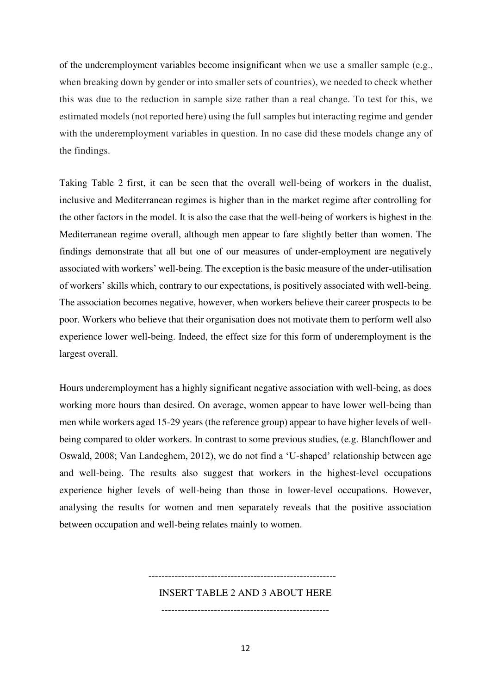of the underemployment variables become insignificant when we use a smaller sample (e.g., when breaking down by gender or into smaller sets of countries), we needed to check whether this was due to the reduction in sample size rather than a real change. To test for this, we estimated models (not reported here) using the full samples but interacting regime and gender with the underemployment variables in question. In no case did these models change any of the findings.

Taking Table 2 first, it can be seen that the overall well-being of workers in the dualist, inclusive and Mediterranean regimes is higher than in the market regime after controlling for the other factors in the model. It is also the case that the well-being of workers is highest in the Mediterranean regime overall, although men appear to fare slightly better than women. The findings demonstrate that all but one of our measures of under-employment are negatively associated with workers' well-being. The exception is the basic measure of the under-utilisation of workers' skills which, contrary to our expectations, is positively associated with well-being. The association becomes negative, however, when workers believe their career prospects to be poor. Workers who believe that their organisation does not motivate them to perform well also experience lower well-being. Indeed, the effect size for this form of underemployment is the largest overall.

Hours underemployment has a highly significant negative association with well-being, as does working more hours than desired. On average, women appear to have lower well-being than men while workers aged 15-29 years (the reference group) appear to have higher levels of wellbeing compared to older workers. In contrast to some previous studies, (e.g. Blanchflower and Oswald, 2008; Van Landeghem, 2012), we do not find a 'U-shaped' relationship between age and well-being. The results also suggest that workers in the highest-level occupations experience higher levels of well-being than those in lower-level occupations. However, analysing the results for women and men separately reveals that the positive association between occupation and well-being relates mainly to women.

INSERT TABLE 2 AND 3 ABOUT HERE

---------------------------------------------------------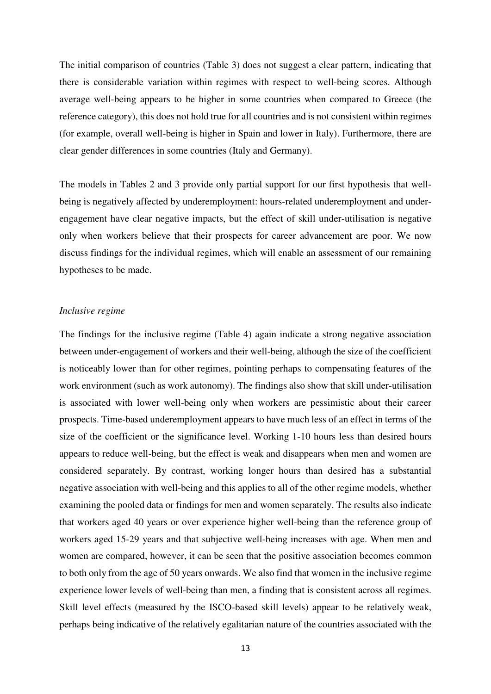The initial comparison of countries (Table 3) does not suggest a clear pattern, indicating that there is considerable variation within regimes with respect to well-being scores. Although average well-being appears to be higher in some countries when compared to Greece (the reference category), this does not hold true for all countries and is not consistent within regimes (for example, overall well-being is higher in Spain and lower in Italy). Furthermore, there are clear gender differences in some countries (Italy and Germany).

The models in Tables 2 and 3 provide only partial support for our first hypothesis that wellbeing is negatively affected by underemployment: hours-related underemployment and underengagement have clear negative impacts, but the effect of skill under-utilisation is negative only when workers believe that their prospects for career advancement are poor. We now discuss findings for the individual regimes, which will enable an assessment of our remaining hypotheses to be made.

# *Inclusive regime*

The findings for the inclusive regime (Table 4) again indicate a strong negative association between under-engagement of workers and their well-being, although the size of the coefficient is noticeably lower than for other regimes, pointing perhaps to compensating features of the work environment (such as work autonomy). The findings also show that skill under-utilisation is associated with lower well-being only when workers are pessimistic about their career prospects. Time-based underemployment appears to have much less of an effect in terms of the size of the coefficient or the significance level. Working 1-10 hours less than desired hours appears to reduce well-being, but the effect is weak and disappears when men and women are considered separately. By contrast, working longer hours than desired has a substantial negative association with well-being and this applies to all of the other regime models, whether examining the pooled data or findings for men and women separately. The results also indicate that workers aged 40 years or over experience higher well-being than the reference group of workers aged 15-29 years and that subjective well-being increases with age. When men and women are compared, however, it can be seen that the positive association becomes common to both only from the age of 50 years onwards. We also find that women in the inclusive regime experience lower levels of well-being than men, a finding that is consistent across all regimes. Skill level effects (measured by the ISCO-based skill levels) appear to be relatively weak, perhaps being indicative of the relatively egalitarian nature of the countries associated with the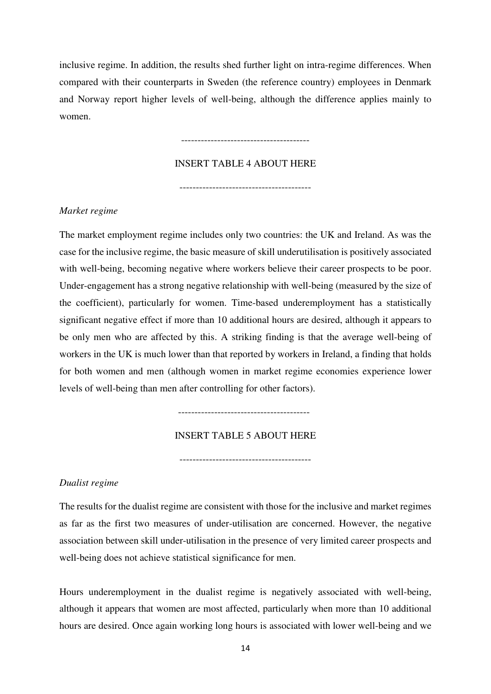inclusive regime. In addition, the results shed further light on intra-regime differences. When compared with their counterparts in Sweden (the reference country) employees in Denmark and Norway report higher levels of well-being, although the difference applies mainly to women.

# ---------------------------------------

# INSERT TABLE 4 ABOUT HERE

----------------------------------------

## *Market regime*

The market employment regime includes only two countries: the UK and Ireland. As was the case for the inclusive regime, the basic measure of skill underutilisation is positively associated with well-being, becoming negative where workers believe their career prospects to be poor. Under-engagement has a strong negative relationship with well-being (measured by the size of the coefficient), particularly for women. Time-based underemployment has a statistically significant negative effect if more than 10 additional hours are desired, although it appears to be only men who are affected by this. A striking finding is that the average well-being of workers in the UK is much lower than that reported by workers in Ireland, a finding that holds for both women and men (although women in market regime economies experience lower levels of well-being than men after controlling for other factors).

----------------------------------------

# INSERT TABLE 5 ABOUT HERE

----------------------------------------

# *Dualist regime*

The results for the dualist regime are consistent with those for the inclusive and market regimes as far as the first two measures of under-utilisation are concerned. However, the negative association between skill under-utilisation in the presence of very limited career prospects and well-being does not achieve statistical significance for men.

Hours underemployment in the dualist regime is negatively associated with well-being, although it appears that women are most affected, particularly when more than 10 additional hours are desired. Once again working long hours is associated with lower well-being and we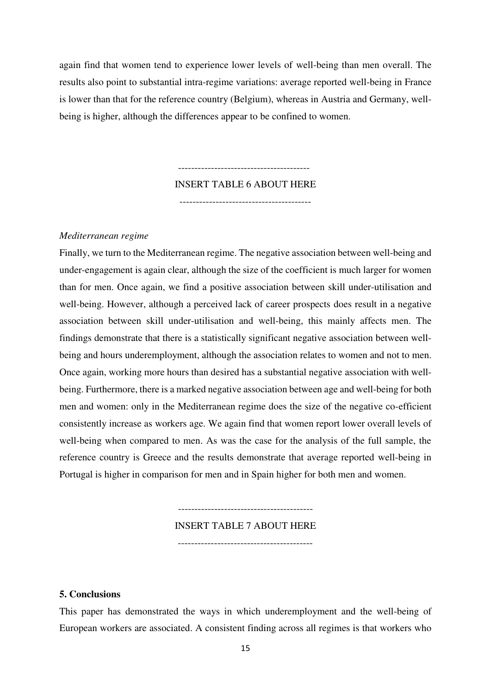again find that women tend to experience lower levels of well-being than men overall. The results also point to substantial intra-regime variations: average reported well-being in France is lower than that for the reference country (Belgium), whereas in Austria and Germany, wellbeing is higher, although the differences appear to be confined to women.

INSERT TABLE 6 ABOUT HERE

----------------------------------------

----------------------------------------

#### *Mediterranean regime*

Finally, we turn to the Mediterranean regime. The negative association between well-being and under-engagement is again clear, although the size of the coefficient is much larger for women than for men. Once again, we find a positive association between skill under-utilisation and well-being. However, although a perceived lack of career prospects does result in a negative association between skill under-utilisation and well-being, this mainly affects men. The findings demonstrate that there is a statistically significant negative association between wellbeing and hours underemployment, although the association relates to women and not to men. Once again, working more hours than desired has a substantial negative association with wellbeing. Furthermore, there is a marked negative association between age and well-being for both men and women: only in the Mediterranean regime does the size of the negative co-efficient consistently increase as workers age. We again find that women report lower overall levels of well-being when compared to men. As was the case for the analysis of the full sample, the reference country is Greece and the results demonstrate that average reported well-being in Portugal is higher in comparison for men and in Spain higher for both men and women.

INSERT TABLE 7 ABOUT HERE

-----------------------------------------

-----------------------------------------

**5. Conclusions** 

This paper has demonstrated the ways in which underemployment and the well-being of European workers are associated. A consistent finding across all regimes is that workers who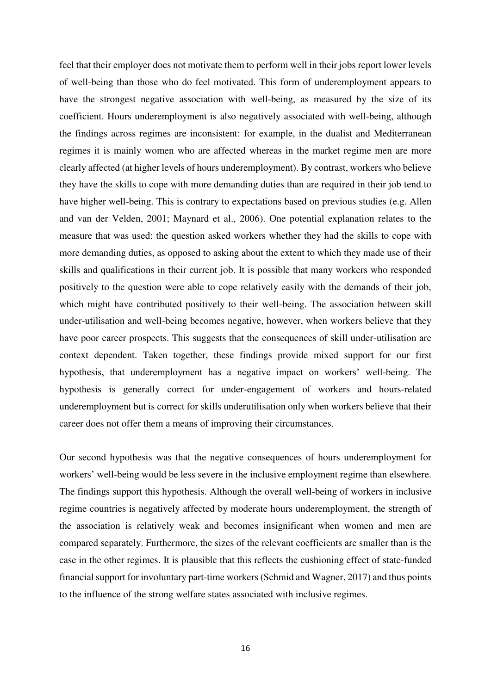feel that their employer does not motivate them to perform well in their jobs report lower levels of well-being than those who do feel motivated. This form of underemployment appears to have the strongest negative association with well-being, as measured by the size of its coefficient. Hours underemployment is also negatively associated with well-being, although the findings across regimes are inconsistent: for example, in the dualist and Mediterranean regimes it is mainly women who are affected whereas in the market regime men are more clearly affected (at higher levels of hours underemployment). By contrast, workers who believe they have the skills to cope with more demanding duties than are required in their job tend to have higher well-being. This is contrary to expectations based on previous studies (e.g. Allen and van der Velden, 2001; Maynard et al., 2006). One potential explanation relates to the measure that was used: the question asked workers whether they had the skills to cope with more demanding duties, as opposed to asking about the extent to which they made use of their skills and qualifications in their current job. It is possible that many workers who responded positively to the question were able to cope relatively easily with the demands of their job, which might have contributed positively to their well-being. The association between skill under-utilisation and well-being becomes negative, however, when workers believe that they have poor career prospects. This suggests that the consequences of skill under-utilisation are context dependent. Taken together, these findings provide mixed support for our first hypothesis, that underemployment has a negative impact on workers' well-being. The hypothesis is generally correct for under-engagement of workers and hours-related underemployment but is correct for skills underutilisation only when workers believe that their career does not offer them a means of improving their circumstances.

Our second hypothesis was that the negative consequences of hours underemployment for workers' well-being would be less severe in the inclusive employment regime than elsewhere. The findings support this hypothesis. Although the overall well-being of workers in inclusive regime countries is negatively affected by moderate hours underemployment, the strength of the association is relatively weak and becomes insignificant when women and men are compared separately. Furthermore, the sizes of the relevant coefficients are smaller than is the case in the other regimes. It is plausible that this reflects the cushioning effect of state-funded financial support for involuntary part-time workers (Schmid and Wagner, 2017) and thus points to the influence of the strong welfare states associated with inclusive regimes.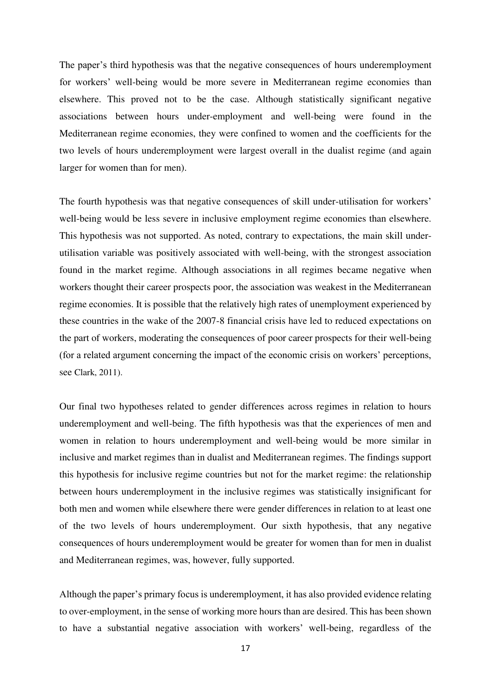The paper's third hypothesis was that the negative consequences of hours underemployment for workers' well-being would be more severe in Mediterranean regime economies than elsewhere. This proved not to be the case. Although statistically significant negative associations between hours under-employment and well-being were found in the Mediterranean regime economies, they were confined to women and the coefficients for the two levels of hours underemployment were largest overall in the dualist regime (and again larger for women than for men).

The fourth hypothesis was that negative consequences of skill under-utilisation for workers' well-being would be less severe in inclusive employment regime economies than elsewhere. This hypothesis was not supported. As noted, contrary to expectations, the main skill underutilisation variable was positively associated with well-being, with the strongest association found in the market regime. Although associations in all regimes became negative when workers thought their career prospects poor, the association was weakest in the Mediterranean regime economies. It is possible that the relatively high rates of unemployment experienced by these countries in the wake of the 2007-8 financial crisis have led to reduced expectations on the part of workers, moderating the consequences of poor career prospects for their well-being (for a related argument concerning the impact of the economic crisis on workers' perceptions, see Clark, 2011).

Our final two hypotheses related to gender differences across regimes in relation to hours underemployment and well-being. The fifth hypothesis was that the experiences of men and women in relation to hours underemployment and well-being would be more similar in inclusive and market regimes than in dualist and Mediterranean regimes. The findings support this hypothesis for inclusive regime countries but not for the market regime: the relationship between hours underemployment in the inclusive regimes was statistically insignificant for both men and women while elsewhere there were gender differences in relation to at least one of the two levels of hours underemployment. Our sixth hypothesis, that any negative consequences of hours underemployment would be greater for women than for men in dualist and Mediterranean regimes, was, however, fully supported.

Although the paper's primary focus is underemployment, it has also provided evidence relating to over-employment, in the sense of working more hours than are desired. This has been shown to have a substantial negative association with workers' well-being, regardless of the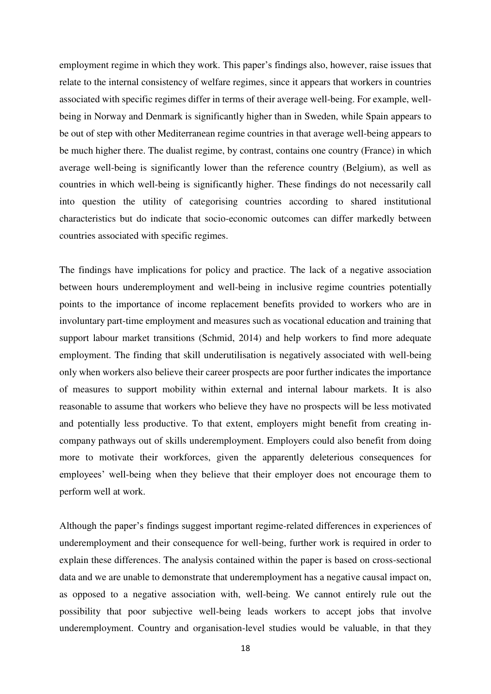employment regime in which they work. This paper's findings also, however, raise issues that relate to the internal consistency of welfare regimes, since it appears that workers in countries associated with specific regimes differ in terms of their average well-being. For example, wellbeing in Norway and Denmark is significantly higher than in Sweden, while Spain appears to be out of step with other Mediterranean regime countries in that average well-being appears to be much higher there. The dualist regime, by contrast, contains one country (France) in which average well-being is significantly lower than the reference country (Belgium), as well as countries in which well-being is significantly higher. These findings do not necessarily call into question the utility of categorising countries according to shared institutional characteristics but do indicate that socio-economic outcomes can differ markedly between countries associated with specific regimes.

The findings have implications for policy and practice. The lack of a negative association between hours underemployment and well-being in inclusive regime countries potentially points to the importance of income replacement benefits provided to workers who are in involuntary part-time employment and measures such as vocational education and training that support labour market transitions (Schmid, 2014) and help workers to find more adequate employment. The finding that skill underutilisation is negatively associated with well-being only when workers also believe their career prospects are poor further indicates the importance of measures to support mobility within external and internal labour markets. It is also reasonable to assume that workers who believe they have no prospects will be less motivated and potentially less productive. To that extent, employers might benefit from creating incompany pathways out of skills underemployment. Employers could also benefit from doing more to motivate their workforces, given the apparently deleterious consequences for employees' well-being when they believe that their employer does not encourage them to perform well at work.

Although the paper's findings suggest important regime-related differences in experiences of underemployment and their consequence for well-being, further work is required in order to explain these differences. The analysis contained within the paper is based on cross-sectional data and we are unable to demonstrate that underemployment has a negative causal impact on, as opposed to a negative association with, well-being. We cannot entirely rule out the possibility that poor subjective well-being leads workers to accept jobs that involve underemployment. Country and organisation-level studies would be valuable, in that they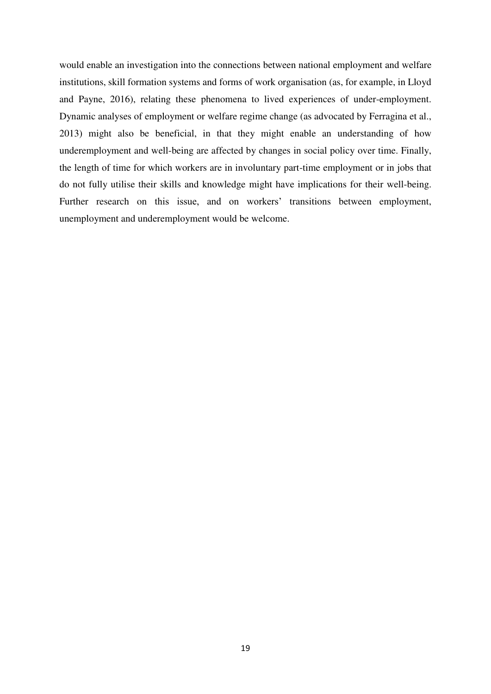would enable an investigation into the connections between national employment and welfare institutions, skill formation systems and forms of work organisation (as, for example, in Lloyd and Payne, 2016), relating these phenomena to lived experiences of under-employment. Dynamic analyses of employment or welfare regime change (as advocated by Ferragina et al., 2013) might also be beneficial, in that they might enable an understanding of how underemployment and well-being are affected by changes in social policy over time. Finally, the length of time for which workers are in involuntary part-time employment or in jobs that do not fully utilise their skills and knowledge might have implications for their well-being. Further research on this issue, and on workers' transitions between employment, unemployment and underemployment would be welcome.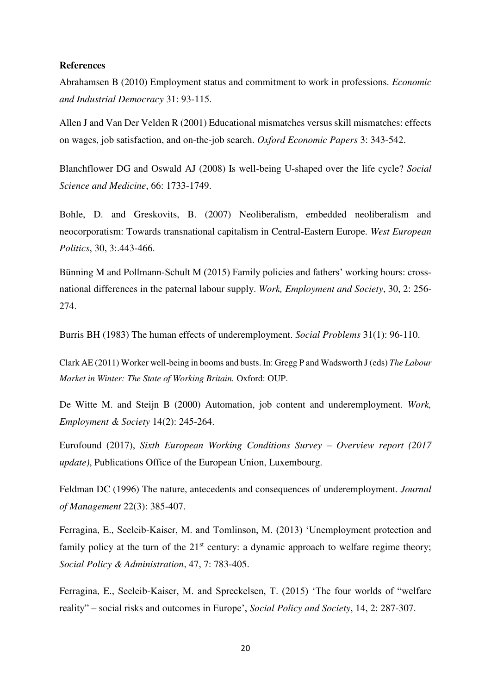## **References**

Abrahamsen B (2010) Employment status and commitment to work in professions. *Economic and Industrial Democracy* 31: 93-115.

Allen J and Van Der Velden R (2001) Educational mismatches versus skill mismatches: effects on wages, job satisfaction, and on-the-job search. *Oxford Economic Papers* 3: 343-542.

Blanchflower DG and Oswald AJ (2008) Is well-being U-shaped over the life cycle? *Social Science and Medicine*, 66: 1733-1749.

Bohle, D. and Greskovits, B. (2007) Neoliberalism, embedded neoliberalism and neocorporatism: Towards transnational capitalism in Central-Eastern Europe. *West European Politics*, 30, 3:.443-466.

Bünning M and Pollmann-Schult M (2015) Family policies and fathers' working hours: crossnational differences in the paternal labour supply. *Work, Employment and Society*, 30, 2: 256- 274.

Burris BH (1983) The human effects of underemployment. *Social Problems* 31(1): 96-110.

Clark AE (2011) Worker well-being in booms and busts. In: Gregg P and Wadsworth J (eds) *The Labour Market in Winter: The State of Working Britain.* Oxford: OUP.

De Witte M. and Steijn B (2000) Automation, job content and underemployment. *Work, Employment & Society* 14(2): 245-264.

Eurofound (2017), *Sixth European Working Conditions Survey – Overview report (2017 update)*, Publications Office of the European Union, Luxembourg.

Feldman DC (1996) [The nature, antecedents and consequences of underemployment.](http://jom.sagepub.com/content/22/3/385.short) *Journal of Management* 22(3): 385-407.

Ferragina, E., Seeleib-Kaiser, M. and Tomlinson, M. (2013) 'Unemployment protection and family policy at the turn of the  $21<sup>st</sup>$  century: a dynamic approach to welfare regime theory; *Social Policy & Administration*, 47, 7: 783-405.

Ferragina, E., Seeleib-Kaiser, M. and Spreckelsen, T. (2015) 'The four worlds of "welfare reality" – social risks and outcomes in Europe', *Social Policy and Society*, 14, 2: 287-307.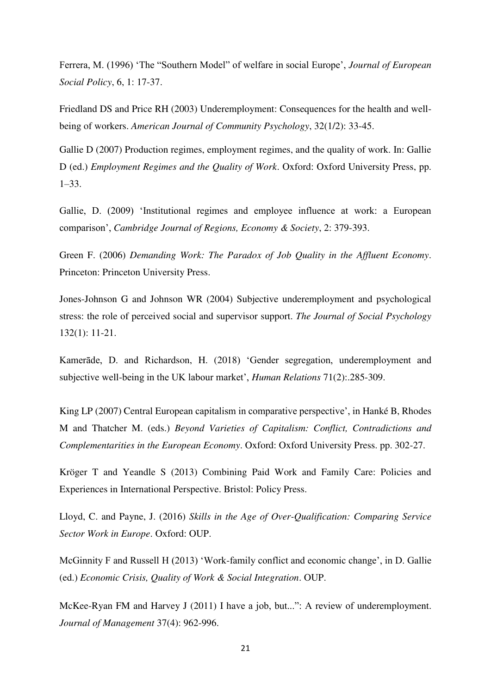Ferrera, M. (1996) 'The "Southern Model" of welfare in social Europe', *Journal of European Social Policy*, 6, 1: 17-37.

Friedland DS and Price RH (2003) [Underemployment: Consequences for the health and well](http://link.springer.com/article/10.1023/A:1025638705649)[being of workers.](http://link.springer.com/article/10.1023/A:1025638705649) *American Journal of Community Psychology*, 32(1/2): 33-45.

Gallie D (2007) Production regimes, employment regimes, and the quality of work. In: Gallie D (ed.) *Employment Regimes and the Quality of Work*. Oxford: Oxford University Press, pp. 1–33.

Gallie, D. (2009) 'Institutional regimes and employee influence at work: a European comparison', *Cambridge Journal of Regions, Economy & Society*, 2: 379-393.

Green F. (2006) *Demanding Work: The Paradox of Job Quality in the Affluent Economy*. Princeton: Princeton University Press.

Jones-Johnson G and Johnson WR (2004) Subjective underemployment and psychological stress: the role of perceived social and supervisor support. *The Journal of Social Psychology* 132(1): 11-21.

Kamerāde, D. and Richardson, H. (2018) 'Gender segregation, underemployment and subjective well-being in the UK labour market', *Human Relations* 71(2):.285-309.

King LP (2007) Central European capitalism in comparative perspective', in Hanké B, Rhodes M and Thatcher M. (eds.) *Beyond Varieties of Capitalism: Conflict, Contradictions and Complementarities in the European Economy*. Oxford: Oxford University Press. pp. 302-27.

Kröger T and Yeandle S (2013) Combining Paid Work and Family Care: Policies and Experiences in International Perspective. Bristol: Policy Press.

Lloyd, C. and Payne, J. (2016) *Skills in the Age of Over-Qualification: Comparing Service Sector Work in Europe*. Oxford: OUP.

McGinnity F and Russell H (2013) 'Work-family conflict and economic change', in D. Gallie (ed.) *Economic Crisis, Quality of Work & Social Integration*. OUP.

McKee-Ryan FM and Harvey J (2011) I ha[ve a job, but...": A review of](http://jom.sagepub.com/content/37/4/962.short) underemployment. *Journal of Management* 37(4): 962-996.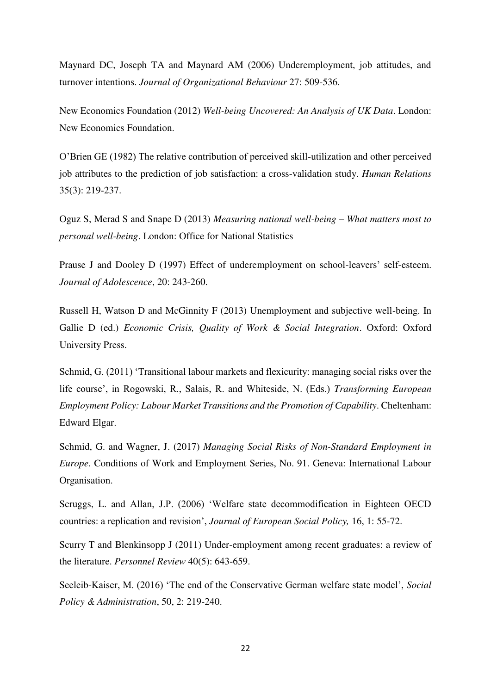Maynard DC, Joseph TA and Maynard AM (2006) Underemployment, job attitudes, and turnover intentions. *Journal of Organizational Behaviour* 27: 509-536.

New Economics Foundation (2012) *Well-being Uncovered: An Analysis of UK Data*. London: New Economics Foundation.

O'Brien GE (1982) The relative contribution of perceived skill-utilization and other perceived job attributes to the prediction of job satisfaction: a cross-validation study. *Human Relations* 35(3): 219-237.

Oguz S, Merad S and Snape D (2013) *Measuring national well-being – What matters most to personal well-being*. London: Office for National Statistics

Prause J and Dooley D (1997) Effect of underemployment on school-leavers' self-esteem. *Journal of Adolescence*, 20: 243-260.

Russell H, Watson D and McGinnity F (2013) Unemployment and subjective well-being. In Gallie D (ed.) *Economic Crisis, Quality of Work & Social Integration*. Oxford: Oxford University Press.

Schmid, G. (2011) 'Transitional labour markets and flexicurity: managing social risks over the life course', in Rogowski, R., Salais, R. and Whiteside, N. (Eds.) *Transforming European Employment Policy: Labour Market Transitions and the Promotion of Capability*. Cheltenham: Edward Elgar.

Schmid, G. and Wagner, J. (2017) *Managing Social Risks of Non-Standard Employment in Europe*. Conditions of Work and Employment Series, No. 91. Geneva: International Labour Organisation.

Scruggs, L. and Allan, J.P. (2006) 'Welfare state decommodification in Eighteen OECD countries: a replication and revision', *Journal of European Social Policy,* 16, 1: 55-72.

Scurry T and Blenkinsopp J (2011) Under-employment among recent graduates: a review of the literature. *Personnel Review* 40(5): 643-659.

Seeleib-Kaiser, M. (2016) 'The end of the Conservative German welfare state model', *Social Policy & Administration*, 50, 2: 219-240.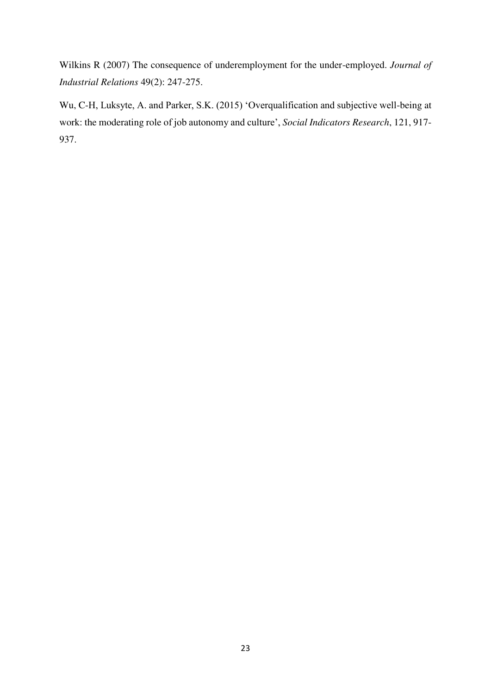Wilkins R (2007) The consequence of underemployment for the under-employed. *Journal of Industrial Relations* 49(2): 247-275.

Wu, C-H, Luksyte, A. and Parker, S.K. (2015) 'Overqualification and subjective well-being at work: the moderating role of job autonomy and culture', *Social Indicators Research*, 121, 917- 937.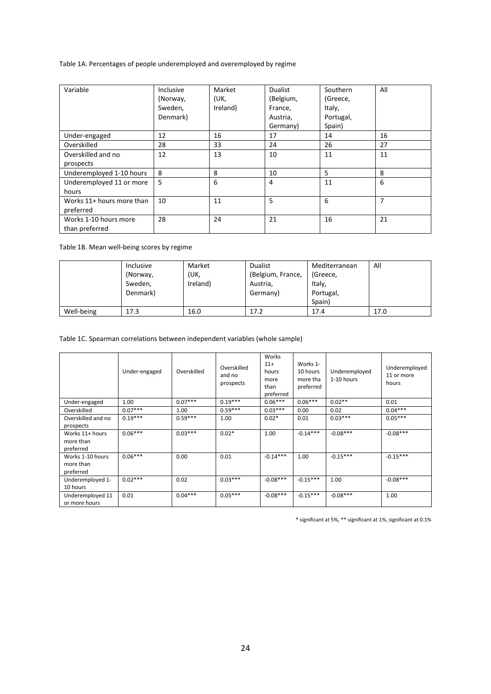## Table 1A. Percentages of people underemployed and overemployed by regime

| Variable                                | Inclusive<br>(Norway,<br>Sweden,<br>Denmark) | Market<br>(UK,<br>Ireland) | <b>Dualist</b><br>(Belgium,<br>France,<br>Austria,<br>Germany) | Southern<br>(Greece,<br>Italy,<br>Portugal,<br>Spain) | All |
|-----------------------------------------|----------------------------------------------|----------------------------|----------------------------------------------------------------|-------------------------------------------------------|-----|
| Under-engaged                           | 12                                           | 16                         | 17                                                             | 14                                                    | 16  |
| Overskilled                             | 28                                           | 33                         | 24                                                             | 26                                                    | 27  |
| Overskilled and no<br>prospects         | 12                                           | 13                         | 10                                                             | 11                                                    | 11  |
| Underemployed 1-10 hours                | 8                                            | 8                          | 10                                                             | 5                                                     | 8   |
| Underemployed 11 or more<br>hours       | 5                                            | 6                          | $\overline{4}$                                                 | 11                                                    | 6   |
| Works 11+ hours more than<br>preferred  | 10                                           | 11                         | 5                                                              | 6                                                     | 7   |
| Works 1-10 hours more<br>than preferred | 28                                           | 24                         | 21                                                             | 16                                                    | 21  |

Table 1B. Mean well-being scores by regime

|            | Inclusive | Market   | <b>Dualist</b>    | Mediterranean | All  |
|------------|-----------|----------|-------------------|---------------|------|
|            | (Norway,  | (UK,     | (Belgium, France, | (Greece,      |      |
|            | Sweden,   | Ireland) | Austria,          | Italy,        |      |
|            | Denmark)  |          | Germany)          | Portugal,     |      |
|            |           |          |                   | Spain)        |      |
| Well-being | 17.3      | 16.0     | 17.2              | 17.4          | 17.0 |

## Table 1C. Spearman correlations between independent variables (whole sample)

|                                            | Under-engaged | Overskilled | Overskilled<br>and no<br>prospects | Works<br>$11+$<br>hours<br>more<br>than<br>preferred | Works 1-<br>10 hours<br>more tha<br>preferred | Underemployed<br>1-10 hours | Underemployed<br>11 or more<br>hours |
|--------------------------------------------|---------------|-------------|------------------------------------|------------------------------------------------------|-----------------------------------------------|-----------------------------|--------------------------------------|
| Under-engaged                              | 1.00          | $0.07***$   | $0.19***$                          | $0.06***$                                            | $0.06***$                                     | $0.02**$                    | 0.01                                 |
| Overskilled                                | $0.07***$     | 1.00        | $0.59***$                          | $0.03***$                                            | 0.00                                          | 0.02                        | $0.04***$                            |
| Overskilled and no<br>prospects            | $0.19***$     | $0.59***$   | 1.00                               | $0.02*$                                              | 0.01                                          | $0.03***$                   | $0.05***$                            |
| Works 11+ hours<br>more than<br>preferred  | $0.06***$     | $0.03***$   | $0.02*$                            | 1.00                                                 | $-0.14***$                                    | $-0.08***$                  | $-0.08***$                           |
| Works 1-10 hours<br>more than<br>preferred | $0.06***$     | 0.00        | 0.01                               | $-0.14***$                                           | 1.00                                          | $-0.15***$                  | $-0.15***$                           |
| Underemployed 1-<br>10 hours               | $0.02***$     | 0.02        | $0.03***$                          | $-0.08***$                                           | $-0.15***$                                    | 1.00                        | $-0.08***$                           |
| Underemployed 11<br>or more hours          | 0.01          | $0.04***$   | $0.05***$                          | $-0.08***$                                           | $-0.15***$                                    | $-0.08***$                  | 1.00                                 |

\* significant at 5%, \*\* significant at 1%, significant at 0.1%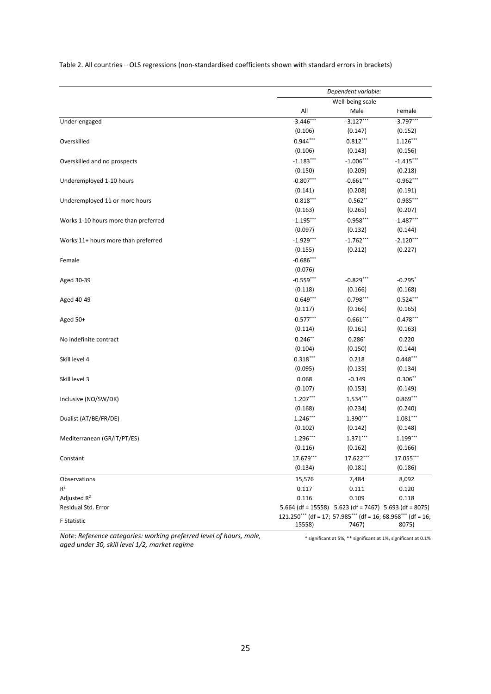| Table 2. All countries - OLS regressions (non-standardised coefficients shown with standard errors in brackets) |  |
|-----------------------------------------------------------------------------------------------------------------|--|

|                                      |             | Dependent variable:                                            |             |  |
|--------------------------------------|-------------|----------------------------------------------------------------|-------------|--|
|                                      |             | Well-being scale                                               |             |  |
|                                      | All         | Male                                                           | Female      |  |
| Under-engaged                        | $-3.446***$ | $-3.127***$                                                    | $-3.797***$ |  |
|                                      | (0.106)     | (0.147)                                                        | (0.152)     |  |
| Overskilled                          | $0.944***$  | $0.812***$                                                     | $1.126***$  |  |
|                                      | (0.106)     | (0.143)                                                        | (0.156)     |  |
| Overskilled and no prospects         | $-1.183***$ | $-1.006***$                                                    | $-1.415***$ |  |
|                                      | (0.150)     | (0.209)                                                        | (0.218)     |  |
| Underemployed 1-10 hours             | $-0.807***$ | $-0.661***$                                                    | $-0.962***$ |  |
|                                      | (0.141)     | (0.208)                                                        | (0.191)     |  |
| Underemployed 11 or more hours       | $-0.818***$ | $-0.562**$                                                     | $-0.985***$ |  |
|                                      | (0.163)     | (0.265)                                                        | (0.207)     |  |
| Works 1-10 hours more than preferred | $-1.195***$ | $-0.958***$                                                    | $-1.487***$ |  |
|                                      | (0.097)     | (0.132)                                                        | (0.144)     |  |
| Works 11+ hours more than preferred  | $-1.929***$ | $-1.762***$                                                    | $-2.120***$ |  |
|                                      | (0.155)     | (0.212)                                                        | (0.227)     |  |
| Female                               | $-0.686***$ |                                                                |             |  |
|                                      | (0.076)     |                                                                |             |  |
| Aged 30-39                           | $-0.559***$ | $-0.829***$                                                    | $-0.295*$   |  |
|                                      | (0.118)     | (0.166)                                                        | (0.168)     |  |
| Aged 40-49                           | $-0.649***$ | $-0.798***$                                                    | $-0.524***$ |  |
|                                      | (0.117)     | (0.166)                                                        | (0.165)     |  |
| Aged 50+                             | $-0.577***$ | $-0.661***$                                                    | $-0.478***$ |  |
|                                      | (0.114)     | (0.161)                                                        | (0.163)     |  |
| No indefinite contract               | $0.246**$   | $0.286*$                                                       | 0.220       |  |
|                                      | (0.104)     | (0.150)                                                        | (0.144)     |  |
| Skill level 4                        | $0.318***$  | 0.218                                                          | $0.448***$  |  |
|                                      | (0.095)     | (0.135)                                                        | (0.134)     |  |
| Skill level 3                        | 0.068       | $-0.149$                                                       | $0.306**$   |  |
|                                      | (0.107)     | (0.153)                                                        | (0.149)     |  |
| Inclusive (NO/SW/DK)                 | $1.207***$  | $1.534***$                                                     | $0.869***$  |  |
|                                      | (0.168)     | (0.234)                                                        | (0.240)     |  |
| Dualist (AT/BE/FR/DE)                | 1.246***    | $1.390***$                                                     | $1.081***$  |  |
|                                      | (0.102)     | (0.142)                                                        | (0.148)     |  |
| Mediterranean (GR/IT/PT/ES)          | 1.296***    | $1.371***$                                                     | 1.199***    |  |
|                                      | (0.116)     | (0.162)                                                        | (0.166)     |  |
| Constant                             | 17.679***   | 17.622***                                                      | 17.055***   |  |
|                                      | (0.134)     | (0.181)                                                        | (0.186)     |  |
| Observations                         | 15,576      | 7,484                                                          | 8,092       |  |
| $R^2$                                | 0.117       | 0.111                                                          | 0.120       |  |
| Adjusted R <sup>2</sup>              | 0.116       | 0.109                                                          | 0.118       |  |
| Residual Std. Error                  |             | 5.664 (df = 15558) 5.623 (df = 7467) 5.693 (df = 8075)         |             |  |
| <b>F Statistic</b>                   |             | $121.250***$ (df = 17; 57.985*** (df = 16; 68.968*** (df = 16; |             |  |
|                                      | 15558)      | 7467)                                                          | 8075)       |  |

*Note: Reference categories: working preferred level of hours, male, aged under 30, skill level 1/2, market regime*

\* significant at 5%, \*\* significant at 1%, significant at 0.1%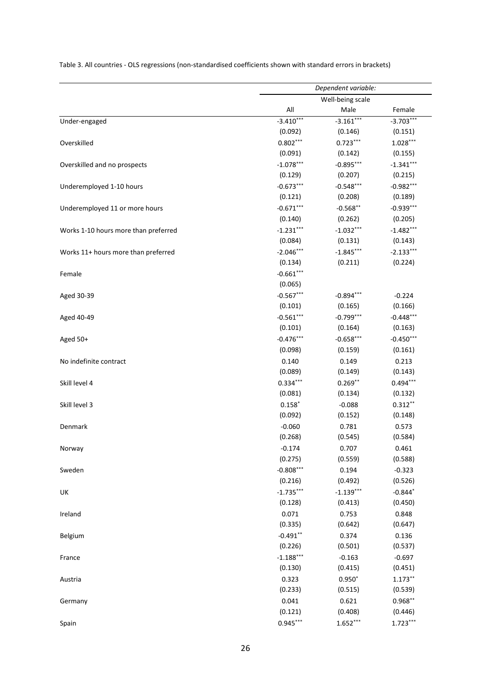*Dependent variable:* Well-being scale All Male Female Under-engaged -3.410\*\*\* -3.161\*\*\* -3.703\*\* (0.092) (0.146) (0.151) Overskilled 0.802\*\*\* 0.723\*\*\* 1.028\*\*\* (0.091) (0.142) (0.155) Overskilled and no prospects  $-1.078***$  -0.895\*\*\*  $-1.341***$ (0.129) (0.207) (0.215) Underemployed 1-10 hours  $-0.673***$  -0.548\*\*\*  $-0.548***$  -0.982\*\*\* (0.121) (0.208) (0.189) Underemployed 11 or more hours and the set of the control of the control of the control of the control of the control of the control of the control of the control of the control of the control of the control of the control (0.140) (0.262) (0.205) Works 1-10 hours more than preferred  $-1.231***$  -1.032\*\*\*  $-1.032***$  $(0.084)$   $(0.131)$   $(0.143)$ Works 11+ hours more than preferred  $-2.046***$  -1.845\*\*\*  $-1.845***$  -2.133\*\*\* (0.134) (0.211) (0.224) Female  $-0.661***$ (0.065) Aged 30-39 -0.567\*\*\* -0.894\*\*\* -0.224 (0.101) (0.165) (0.166) Aged 40-49 -0.561\*\*\* -0.799\*\*\* -0.448\*\*\* (0.101) (0.164) (0.163) Aged 50+ -0.450\*\*\* -0.450\*\*\* -0.658\*\*\* -0.658\*\*\* -0.450\*\*\* -0.450\*\*\* (0.098) (0.159) (0.161) No indefinite contract and the contract of the contract of the contract of the contract of the contract of the contract of the contract of the contract of the contract of the contract of the contract of the contract of the (0.089) (0.149) (0.143) Skill level 4 0.334\*\*\* **0.269\*\*** 0.494\*\*\* **0.494\***\*\* (0.081) (0.134) (0.132) Skill level 3 0.158<sup>\*</sup> -0.088 0.312\*\* (0.092) (0.152) (0.148) Denmark 6.573 0.573 0.573 0.573 0.573 0.573 0.573 0.573 0.573 0.573 0.573 0.573 0.573 0.573 0.573 0.573 0.573 0 (0.268) (0.545) (0.584) Norway 0.461 2002 0.461 2003 0.461 2004 0.461 2004 0.461 2004 0.461 2004 0.461 2004 0.461 2004 0.461 2004 0.461 2004 0.461 2004 0.461 2004 0.461 2004 0.461 2004 0.461 2004 0.461 2004 0.47 2004 0.47 2004 0.47 2004 0.47 2004 (0.275) (0.559) (0.588) Sweden -0.808\*\*\* -0.808\*\*\* -0.194 -0.323 (0.216) (0.492) (0.526) UK -1.735\*\*\* -1.139\*\*\* -1.139\*\*\* -0.844\* (0.128) (0.413) (0.450) Ireland 0.071 0.753 0.848 (0.335) (0.642) (0.647) Belgium -0.491\*\* 0.374 0.136 (0.226) (0.501) (0.537) France -1.188\*\*\* -0.163 -0.697 (0.130) (0.415) (0.451) Austria 0.323 0.950\* 1.173\*\* (0.233) (0.515) (0.539) Germany 0.041 0.621 0.968\*\* (0.121) (0.408) (0.446) Spain 0.945\*\*\* 1.652\*\*\* 1.723\*\*\*

Table 3. All countries - OLS regressions (non-standardised coefficients shown with standard errors in brackets)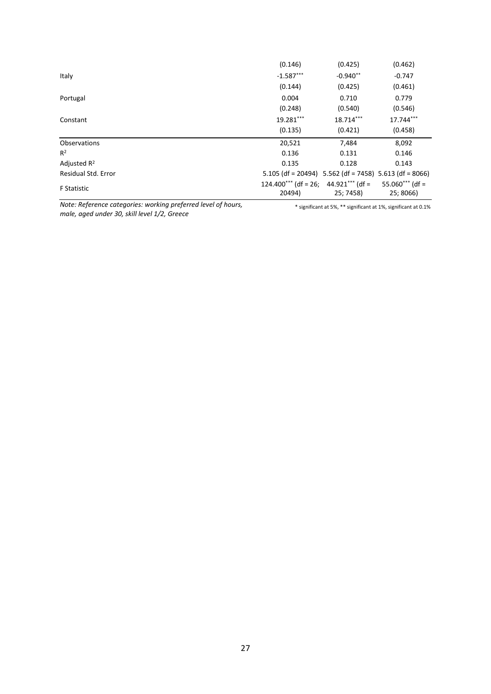|                     | (0.146)                                                      | (0.425)    | (0.462)           |
|---------------------|--------------------------------------------------------------|------------|-------------------|
| Italy               | $-1.587***$                                                  | $-0.940**$ | $-0.747$          |
|                     | (0.144)                                                      | (0.425)    | (0.461)           |
| Portugal            | 0.004                                                        | 0.710      | 0.779             |
|                     | (0.248)                                                      | (0.540)    | (0.546)           |
| Constant            | 19.281***                                                    | 18.714***  | 17.744***         |
|                     | (0.135)                                                      | (0.421)    | (0.458)           |
| Observations        | 20,521                                                       | 7,484      | 8,092             |
| $R^2$               | 0.136                                                        | 0.131      | 0.146             |
| Adjusted $R^2$      | 0.135                                                        | 0.128      | 0.143             |
| Residual Std. Error | $5.105$ (df = 20494) $5.562$ (df = 7458) $5.613$ (df = 8066) |            |                   |
| <b>F</b> Statistic  | $124.400***$ (df = 26; 44.921*** (df =                       |            | $55.060***$ (df = |
|                     | 20494)                                                       | 25; 7458)  | 25; 8066)         |

*Note: Reference categories: working preferred level of hours, male, aged under 30, skill level 1/2, Greece*

\* significant at 5%, \*\* significant at 1%, significant at 0.1%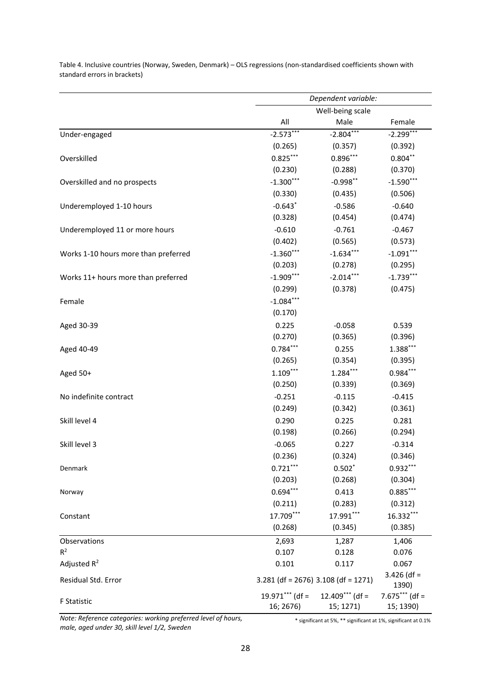|                                      |                   | Dependent variable:                     |                        |  |  |
|--------------------------------------|-------------------|-----------------------------------------|------------------------|--|--|
|                                      |                   | Well-being scale                        |                        |  |  |
|                                      | All               | Male                                    | Female                 |  |  |
| Under-engaged                        | $-2.573***$       | $-2.804***$                             | $-2.299***$            |  |  |
|                                      | (0.265)           | (0.357)                                 | (0.392)                |  |  |
| Overskilled                          | $0.825***$        | $0.896***$                              | $0.804***$             |  |  |
|                                      | (0.230)           | (0.288)                                 | (0.370)                |  |  |
| Overskilled and no prospects         | $-1.300***$       | $-0.998**$                              | $-1.590***$            |  |  |
|                                      | (0.330)           | (0.435)                                 | (0.506)                |  |  |
| Underemployed 1-10 hours             | $-0.643$ *        | $-0.586$                                | $-0.640$               |  |  |
|                                      | (0.328)           | (0.454)                                 | (0.474)                |  |  |
| Underemployed 11 or more hours       | $-0.610$          | $-0.761$                                | $-0.467$               |  |  |
|                                      | (0.402)           | (0.565)                                 | (0.573)                |  |  |
| Works 1-10 hours more than preferred | $-1.360***$       | $-1.634***$                             | $-1.091***$            |  |  |
|                                      | (0.203)           | (0.278)                                 | (0.295)                |  |  |
| Works 11+ hours more than preferred  | $-1.909***$       | $-2.014***$                             | $-1.739***$            |  |  |
|                                      | (0.299)           | (0.378)                                 | (0.475)                |  |  |
| Female                               | $-1.084***$       |                                         |                        |  |  |
|                                      | (0.170)           |                                         |                        |  |  |
| Aged 30-39                           | 0.225             | $-0.058$                                | 0.539                  |  |  |
|                                      | (0.270)           | (0.365)                                 | (0.396)                |  |  |
| Aged 40-49                           | $0.784***$        | 0.255                                   | $1.388***$             |  |  |
|                                      | (0.265)           | (0.354)                                 | (0.395)                |  |  |
| Aged 50+                             | $1.109***$        | $1.284***$                              | $0.984***$             |  |  |
|                                      | (0.250)           | (0.339)                                 | (0.369)                |  |  |
| No indefinite contract               | $-0.251$          | $-0.115$                                | $-0.415$               |  |  |
|                                      | (0.249)           | (0.342)                                 | (0.361)                |  |  |
| Skill level 4                        | 0.290             | 0.225                                   | 0.281                  |  |  |
|                                      | (0.198)           | (0.266)                                 | (0.294)                |  |  |
| Skill level 3                        | $-0.065$          | 0.227                                   | $-0.314$               |  |  |
|                                      | (0.236)           | (0.324)                                 | (0.346)                |  |  |
| Denmark                              | $0.721***$        | $0.502*$                                | $0.932***$             |  |  |
|                                      | (0.203)           | (0.268)                                 | (0.304)                |  |  |
| Norway                               | $0.694***$        | 0.413                                   | $0.885***$             |  |  |
|                                      | (0.211)           | (0.283)                                 | (0.312)                |  |  |
| Constant                             | 17.709***         | 17.991***                               | 16.332***              |  |  |
|                                      | (0.268)           | (0.345)                                 | (0.385)                |  |  |
| Observations                         | 2,693             | 1,287                                   | 1,406                  |  |  |
| R <sup>2</sup>                       | 0.107             | 0.128                                   | 0.076                  |  |  |
| Adjusted $R^2$                       | 0.101             | 0.117                                   | 0.067                  |  |  |
| Residual Std. Error                  |                   | $3.281$ (df = 2676) $3.108$ (df = 1271) | $3.426$ (df =<br>1390) |  |  |
| F Statistic                          | $19.971***$ (df = | $12.409***$ (df =                       | 7.675*** (df =         |  |  |
|                                      | 16; 2676)         | 15; 1271)                               | 15; 1390)              |  |  |

Table 4. Inclusive countries (Norway, Sweden, Denmark) – OLS regressions (non-standardised coefficients shown with standard errors in brackets)

*Note: Reference categories: working preferred level of hours, male, aged under 30, skill level 1/2, Sweden*

\* significant at 5%, \*\* significant at 1%, significant at 0.1%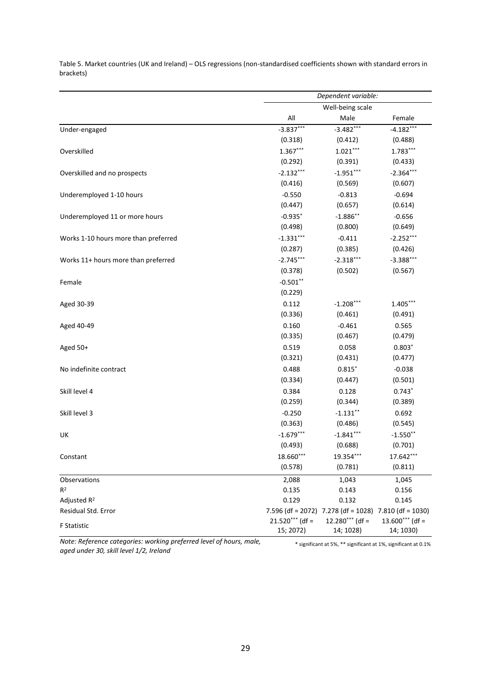|                                      |                   | Dependent variable:                                   |                   |  |  |
|--------------------------------------|-------------------|-------------------------------------------------------|-------------------|--|--|
|                                      |                   | Well-being scale                                      |                   |  |  |
|                                      | All               | Male                                                  | Female            |  |  |
| Under-engaged                        | $-3.837***$       | $-3.482***$                                           | $-4.182***$       |  |  |
|                                      | (0.318)           | (0.412)                                               | (0.488)           |  |  |
| Overskilled                          | $1.367***$        | $1.021***$                                            | $1.783***$        |  |  |
|                                      | (0.292)           | (0.391)                                               | (0.433)           |  |  |
| Overskilled and no prospects         | $-2.132***$       | $-1.951***$                                           | $-2.364***$       |  |  |
|                                      | (0.416)           | (0.569)                                               | (0.607)           |  |  |
| Underemployed 1-10 hours             | $-0.550$          | $-0.813$                                              | $-0.694$          |  |  |
|                                      | (0.447)           | (0.657)                                               | (0.614)           |  |  |
| Underemployed 11 or more hours       | $-0.935*$         | $-1.886**$                                            | $-0.656$          |  |  |
|                                      | (0.498)           | (0.800)                                               | (0.649)           |  |  |
| Works 1-10 hours more than preferred | $-1.331***$       | $-0.411$                                              | $-2.252***$       |  |  |
|                                      | (0.287)           | (0.385)                                               | (0.426)           |  |  |
| Works 11+ hours more than preferred  | $-2.745***$       | $-2.318***$                                           | $-3.388***$       |  |  |
|                                      | (0.378)           | (0.502)                                               | (0.567)           |  |  |
| Female                               | $-0.501**$        |                                                       |                   |  |  |
|                                      | (0.229)           |                                                       |                   |  |  |
| Aged 30-39                           | 0.112             | $-1.208***$                                           | $1.405***$        |  |  |
|                                      | (0.336)           | (0.461)                                               | (0.491)           |  |  |
| Aged 40-49                           | 0.160             | $-0.461$                                              | 0.565             |  |  |
|                                      | (0.335)           | (0.467)                                               | (0.479)           |  |  |
| Aged 50+                             | 0.519             | 0.058                                                 | $0.803*$          |  |  |
|                                      | (0.321)           | (0.431)                                               | (0.477)           |  |  |
| No indefinite contract               | 0.488             | $0.815*$                                              | $-0.038$          |  |  |
|                                      | (0.334)           | (0.447)                                               | (0.501)           |  |  |
| Skill level 4                        | 0.384             | 0.128                                                 | $0.743*$          |  |  |
|                                      | (0.259)           | (0.344)                                               | (0.389)           |  |  |
| Skill level 3                        | $-0.250$          | $-1.131***$                                           | 0.692             |  |  |
|                                      | (0.363)           | (0.486)                                               | (0.545)           |  |  |
| UK                                   | $-1.679***$       | $-1.841***$                                           | $-1.550**$        |  |  |
|                                      | (0.493)           | (0.688)                                               | (0.701)           |  |  |
| Constant                             | 18.660***         | 19.354***                                             | 17.642***         |  |  |
|                                      | (0.578)           | (0.781)                                               | (0.811)           |  |  |
| Observations                         | 2,088             | 1,043                                                 | 1,045             |  |  |
| R <sup>2</sup>                       | 0.135             | 0.143                                                 | 0.156             |  |  |
| Adjusted R <sup>2</sup>              | 0.129             | 0.132                                                 | 0.145             |  |  |
| Residual Std. Error                  |                   | 7.596 (df = 2072) 7.278 (df = 1028) 7.810 (df = 1030) |                   |  |  |
| F Statistic                          | $21.520***$ (df = | $12.280***$ (df =                                     | $13.600***$ (df = |  |  |
|                                      | 15; 2072)         | 14; 1028)                                             | 14; 1030)         |  |  |

Table 5. Market countries (UK and Ireland) – OLS regressions (non-standardised coefficients shown with standard errors in brackets)

*Note: Reference categories: working preferred level of hours, male, aged under 30, skill level 1/2, Ireland*

 $^{\ast}$  significant at 5%,  $^{\ast\ast}$  significant at 0.1%  $\,$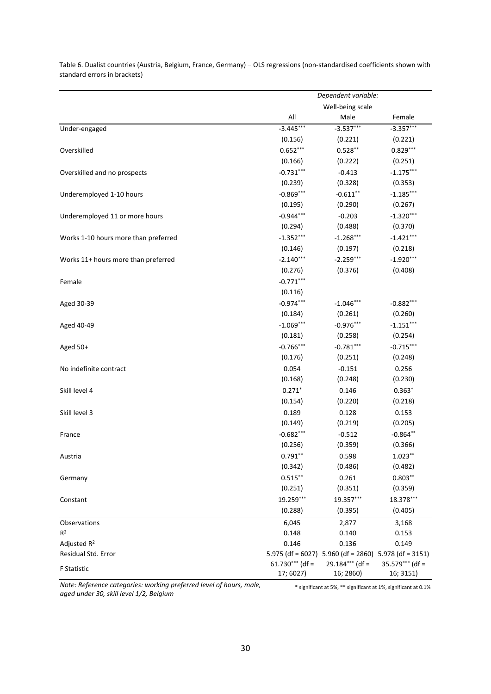|                                      | Dependent variable: |                                                       |                   |
|--------------------------------------|---------------------|-------------------------------------------------------|-------------------|
|                                      |                     |                                                       |                   |
|                                      | $\mathsf{All}$      | Male                                                  | Female            |
| Under-engaged                        | $-3.445***$         | $-3.537***$                                           | $-3.357***$       |
|                                      | (0.156)             | (0.221)                                               | (0.221)           |
| Overskilled                          | $0.652***$          | $0.528***$                                            | $0.829***$        |
|                                      | (0.166)             | (0.222)                                               | (0.251)           |
| Overskilled and no prospects         | $-0.731***$         | $-0.413$                                              | $-1.175***$       |
|                                      | (0.239)             | (0.328)                                               | (0.353)           |
| Underemployed 1-10 hours             | $-0.869***$         | $-0.611***$                                           | $-1.185***$       |
|                                      | (0.195)             | (0.290)                                               | (0.267)           |
| Underemployed 11 or more hours       | $-0.944***$         | $-0.203$                                              | $-1.320***$       |
|                                      | (0.294)             | (0.488)                                               | (0.370)           |
| Works 1-10 hours more than preferred | $-1.352***$         | $-1.268***$                                           | $-1.421***$       |
|                                      | (0.146)             | (0.197)                                               | (0.218)           |
| Works 11+ hours more than preferred  | $-2.140***$         | $-2.259***$                                           | $-1.920***$       |
|                                      | (0.276)             | (0.376)                                               | (0.408)           |
| Female                               | $-0.771***$         |                                                       |                   |
|                                      | (0.116)             |                                                       |                   |
| Aged 30-39                           | $-0.974***$         | $-1.046***$                                           | $-0.882***$       |
|                                      | (0.184)             | (0.261)                                               | (0.260)           |
| Aged 40-49                           | $-1.069***$         | $-0.976***$                                           | $-1.151***$       |
|                                      | (0.181)             | (0.258)                                               | (0.254)           |
| Aged 50+                             | $-0.766***$         | $-0.781***$                                           | $-0.715***$       |
|                                      | (0.176)             | (0.251)                                               | (0.248)           |
| No indefinite contract               | 0.054               | $-0.151$                                              | 0.256             |
|                                      | (0.168)             | (0.248)                                               | (0.230)           |
| Skill level 4                        | $0.271*$            | 0.146                                                 | $0.363*$          |
|                                      | (0.154)             | (0.220)                                               | (0.218)           |
| Skill level 3                        | 0.189               | 0.128                                                 | 0.153             |
|                                      | (0.149)             | (0.219)                                               | (0.205)           |
| France                               | $-0.682***$         | $-0.512$                                              | $-0.864**$        |
|                                      | (0.256)             | (0.359)                                               | (0.366)           |
| Austria                              | $0.791**$           | 0.598                                                 | $1.023***$        |
|                                      | (0.342)             | (0.486)                                               | (0.482)           |
| Germany                              | $0.515***$          | 0.261                                                 | $0.803**$         |
|                                      | (0.251)             | (0.351)                                               | (0.359)           |
| Constant                             | 19.259***           | 19.357***                                             | 18.378***         |
|                                      | (0.288)             | (0.395)                                               | (0.405)           |
| Observations                         | 6,045               | 2,877                                                 | 3,168             |
| R <sup>2</sup>                       | 0.148               | 0.140                                                 | 0.153             |
| Adjusted R <sup>2</sup>              | 0.146               | 0.136                                                 | 0.149             |
| Residual Std. Error                  |                     | 5.975 (df = 6027) 5.960 (df = 2860) 5.978 (df = 3151) |                   |
| F Statistic                          | $61.730***$ (df =   | $29.184***$ (df =                                     | $35.579***$ (df = |
|                                      | 17; 6027)           | 16; 2860)                                             | 16; 3151)         |

Table 6. Dualist countries (Austria, Belgium, France, Germany) – OLS regressions (non-standardised coefficients shown with standard errors in brackets)

*Note: Reference categories: working preferred level of hours, male, aged under 30, skill level 1/2, Belgium*

\* significant at 5%, \*\* significant at 1%, significant at 0.1%